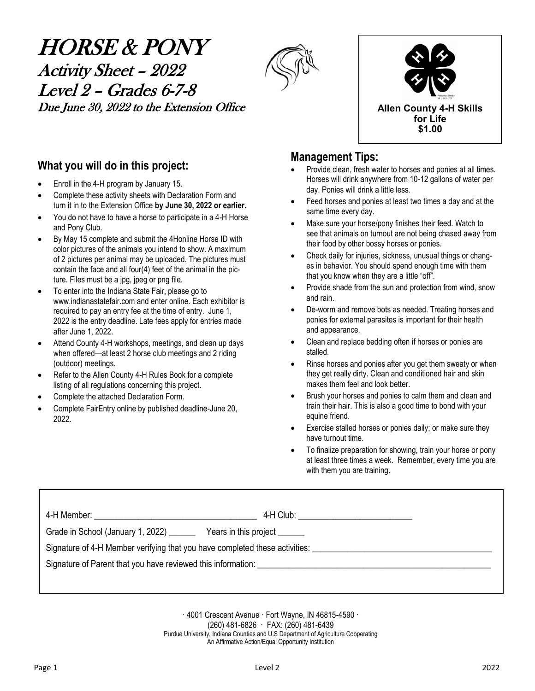# HORSE & PONY Activity Sheet – 2022 Level 2 – Grades 6-7-8 Due June 30, 2022 to the Extension Office **Allen County 4-H** Skills





### **What you will do in this project:**

- Enroll in the 4-H program by January 15.
- Complete these activity sheets with Declaration Form and turn it in to the Extension Office **by June 30, 2022 or earlier.**
- You do not have to have a horse to participate in a 4-H Horse and Pony Club.
- By May 15 complete and submit the 4Honline Horse ID with color pictures of the animals you intend to show. A maximum of 2 pictures per animal may be uploaded. The pictures must contain the face and all four(4) feet of the animal in the picture. Files must be a jpg, jpeg or png file.
- To enter into the Indiana State Fair, please go to www.indianastatefair.com and enter online. Each exhibitor is required to pay an entry fee at the time of entry. June 1, 2022 is the entry deadline. Late fees apply for entries made after June 1, 2022.
- Attend County 4-H workshops, meetings, and clean up days when offered—at least 2 horse club meetings and 2 riding (outdoor) meetings.
- Refer to the Allen County 4-H Rules Book for a complete listing of all regulations concerning this project.
- Complete the attached Declaration Form.
- Complete FairEntry online by published deadline-June 20, 2022.

### **Management Tips:**

- Provide clean, fresh water to horses and ponies at all times. Horses will drink anywhere from 10-12 gallons of water per day. Ponies will drink a little less.
- Feed horses and ponies at least two times a day and at the same time every day.
- Make sure your horse/pony finishes their feed. Watch to see that animals on turnout are not being chased away from their food by other bossy horses or ponies.
- Check daily for injuries, sickness, unusual things or changes in behavior. You should spend enough time with them that you know when they are a little "off".
- Provide shade from the sun and protection from wind, snow and rain.
- De-worm and remove bots as needed. Treating horses and ponies for external parasites is important for their health and appearance.
- Clean and replace bedding often if horses or ponies are stalled.
- Rinse horses and ponies after you get them sweaty or when they get really dirty. Clean and conditioned hair and skin makes them feel and look better.
- Brush your horses and ponies to calm them and clean and train their hair. This is also a good time to bond with your equine friend.
- Exercise stalled horses or ponies daily; or make sure they have turnout time.
- To finalize preparation for showing, train your horse or pony at least three times a week. Remember, every time you are with them you are training.

|                                                                                                                | 4-H Club: ____________________________ |
|----------------------------------------------------------------------------------------------------------------|----------------------------------------|
| Grade in School (January 1, 2022) ______                                                                       | Years in this project                  |
| Signature of 4-H Member verifying that you have completed these activities: __________________________________ |                                        |
| Signature of Parent that you have reviewed this information:                                                   |                                        |
|                                                                                                                |                                        |

· 4001 Crescent Avenue · Fort Wayne, IN 46815-4590 · (260) 481-6826 · FAX: (260) 481-6439 Purdue University, Indiana Counties and U.S Department of Agriculture Cooperating An Affirmative Action/Equal Opportunity Institution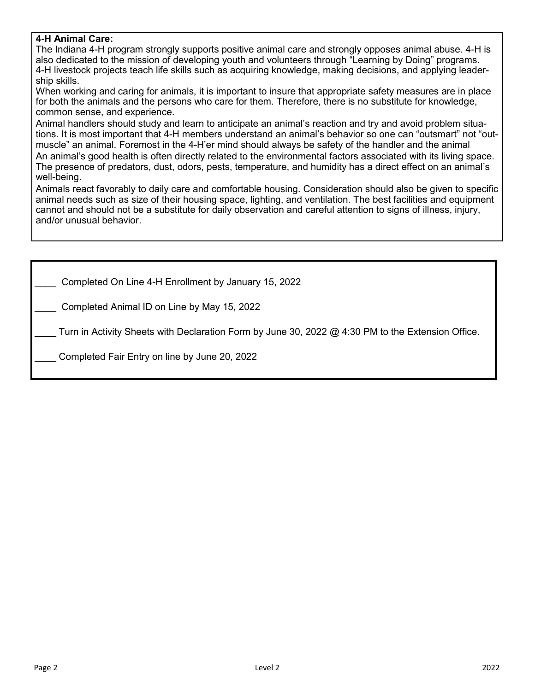### **4-H Animal Care:**

The Indiana 4-H program strongly supports positive animal care and strongly opposes animal abuse. 4-H is also dedicated to the mission of developing youth and volunteers through "Learning by Doing" programs. 4-H livestock projects teach life skills such as acquiring knowledge, making decisions, and applying leadership skills.

When working and caring for animals, it is important to insure that appropriate safety measures are in place for both the animals and the persons who care for them. Therefore, there is no substitute for knowledge, common sense, and experience.

Animal handlers should study and learn to anticipate an animal's reaction and try and avoid problem situations. It is most important that 4-H members understand an animal's behavior so one can "outsmart" not "outmuscle" an animal. Foremost in the 4-H'er mind should always be safety of the handler and the animal An animal's good health is often directly related to the environmental factors associated with its living space. The presence of predators, dust, odors, pests, temperature, and humidity has a direct effect on an animal's well-being.

Animals react favorably to daily care and comfortable housing. Consideration should also be given to specific animal needs such as size of their housing space, lighting, and ventilation. The best facilities and equipment cannot and should not be a substitute for daily observation and careful attention to signs of illness, injury, and/or unusual behavior.

Completed On Line 4-H Enrollment by January 15, 2022

Completed Animal ID on Line by May 15, 2022

Turn in Activity Sheets with Declaration Form by June 30, 2022 @ 4:30 PM to the Extension Office.

\_\_\_\_ Completed Fair Entry on line by June 20, 2022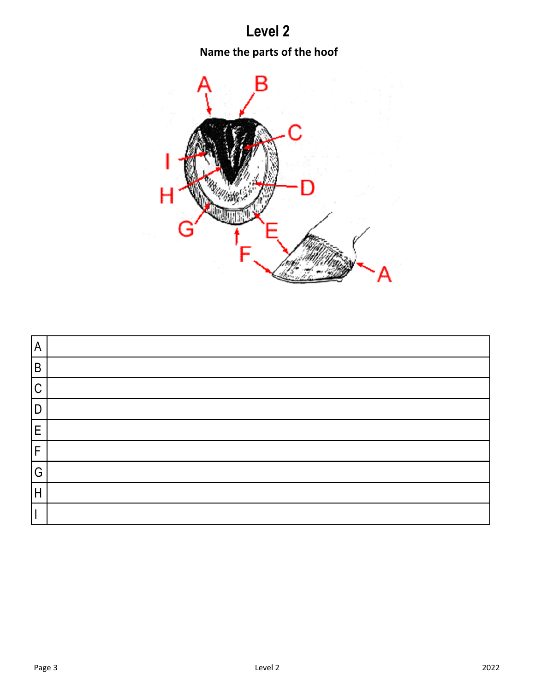# **Level 2**

# **Name the parts of the hoof**



| $\overline{A}$ |  |
|----------------|--|
| $\mathsf B$    |  |
| $\mathsf C$    |  |
| D              |  |
| E              |  |
| F              |  |
| G              |  |
| H              |  |
|                |  |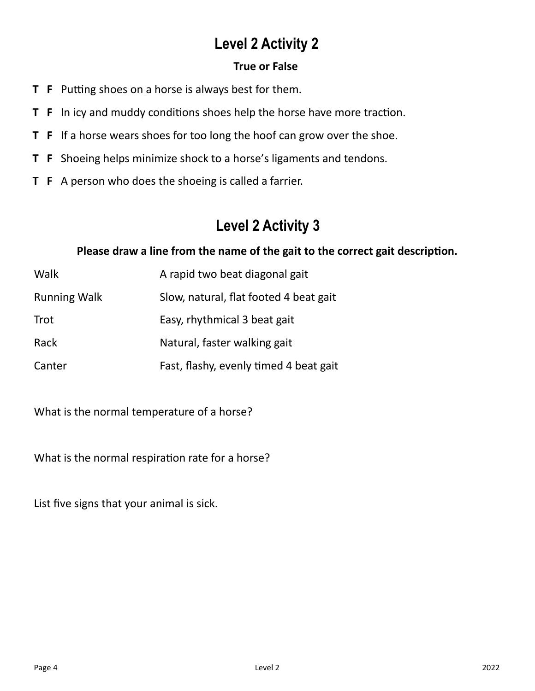### **True or False**

- **T F** Putting shoes on a horse is always best for them.
- **T F** In icy and muddy conditions shoes help the horse have more traction.
- **T F** If a horse wears shoes for too long the hoof can grow over the shoe.
- **T F** Shoeing helps minimize shock to a horse's ligaments and tendons.
- **T F** A person who does the shoeing is called a farrier.

# **Level 2 Activity 3**

### **Please draw a line from the name of the gait to the correct gait description.**

| Walk                | A rapid two beat diagonal gait         |
|---------------------|----------------------------------------|
| <b>Running Walk</b> | Slow, natural, flat footed 4 beat gait |
| Trot                | Easy, rhythmical 3 beat gait           |
| Rack                | Natural, faster walking gait           |
| Canter              | Fast, flashy, evenly timed 4 beat gait |

What is the normal temperature of a horse?

What is the normal respiration rate for a horse?

List five signs that your animal is sick.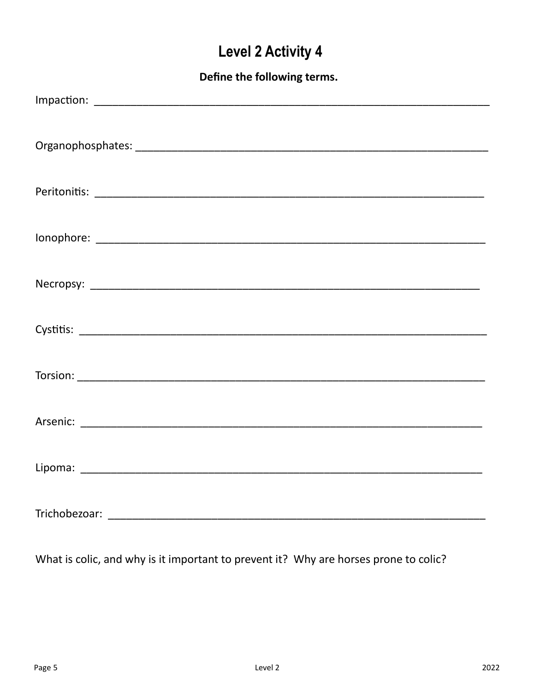Define the following terms.

What is colic, and why is it important to prevent it? Why are horses prone to colic?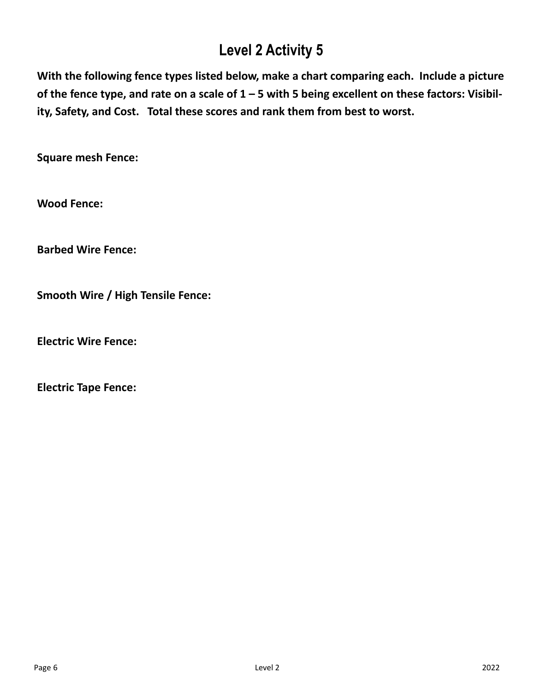**With the following fence types listed below, make a chart comparing each. Include a picture of the fence type, and rate on a scale of 1 – 5 with 5 being excellent on these factors: Visibility, Safety, and Cost. Total these scores and rank them from best to worst.**

**Square mesh Fence:**

**Wood Fence:**

**Barbed Wire Fence:**

**Smooth Wire / High Tensile Fence:**

**Electric Wire Fence:**

**Electric Tape Fence:**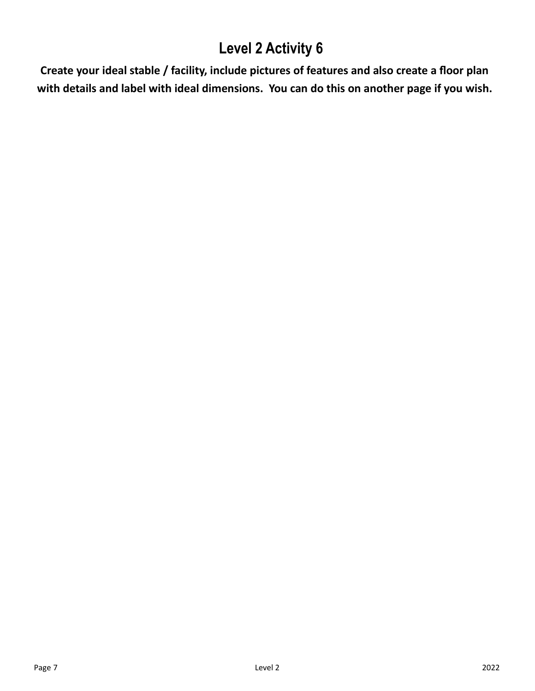**Create your ideal stable / facility, include pictures of features and also create a floor plan with details and label with ideal dimensions. You can do this on another page if you wish.**